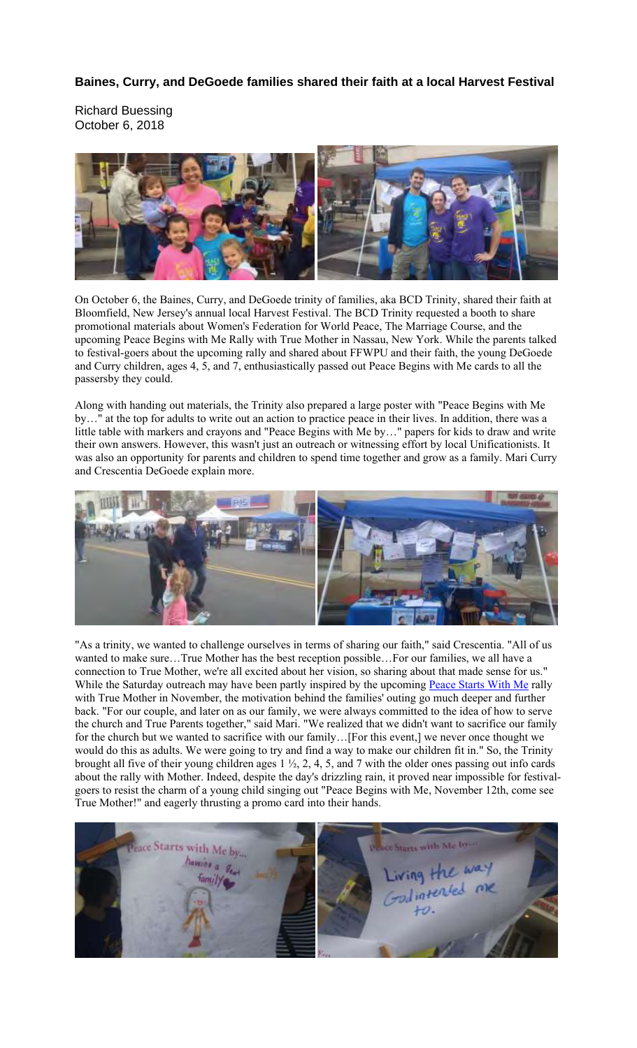## **Baines, Curry, and DeGoede families shared their faith at a local Harvest Festival**

Richard Buessing October 6, 2018



On October 6, the Baines, Curry, and DeGoede trinity of families, aka BCD Trinity, shared their faith at Bloomfield, New Jersey's annual local Harvest Festival. The BCD Trinity requested a booth to share promotional materials about Women's Federation for World Peace, The Marriage Course, and the upcoming Peace Begins with Me Rally with True Mother in Nassau, New York. While the parents talked to festival-goers about the upcoming rally and shared about FFWPU and their faith, the young DeGoede and Curry children, ages 4, 5, and 7, enthusiastically passed out Peace Begins with Me cards to all the passersby they could.

Along with handing out materials, the Trinity also prepared a large poster with "Peace Begins with Me by…" at the top for adults to write out an action to practice peace in their lives. In addition, there was a little table with markers and crayons and "Peace Begins with Me by…" papers for kids to draw and write their own answers. However, this wasn't just an outreach or witnessing effort by local Unificationists. It was also an opportunity for parents and children to spend time together and grow as a family. Mari Curry and Crescentia DeGoede explain more.



"As a trinity, we wanted to challenge ourselves in terms of sharing our faith," said Crescentia. "All of us wanted to make sure…True Mother has the best reception possible…For our families, we all have a connection to True Mother, we're all excited about her vision, so sharing about that made sense for us." While the Saturday outreach may have been partly inspired by the upcoming Peace Starts With Me rally with True Mother in November, the motivation behind the families' outing go much deeper and further back. "For our couple, and later on as our family, we were always committed to the idea of how to serve the church and True Parents together," said Mari. "We realized that we didn't want to sacrifice our family for the church but we wanted to sacrifice with our family…[For this event,] we never once thought we would do this as adults. We were going to try and find a way to make our children fit in." So, the Trinity brought all five of their young children ages 1 ½, 2, 4, 5, and 7 with the older ones passing out info cards about the rally with Mother. Indeed, despite the day's drizzling rain, it proved near impossible for festivalgoers to resist the charm of a young child singing out "Peace Begins with Me, November 12th, come see True Mother!" and eagerly thrusting a promo card into their hands.